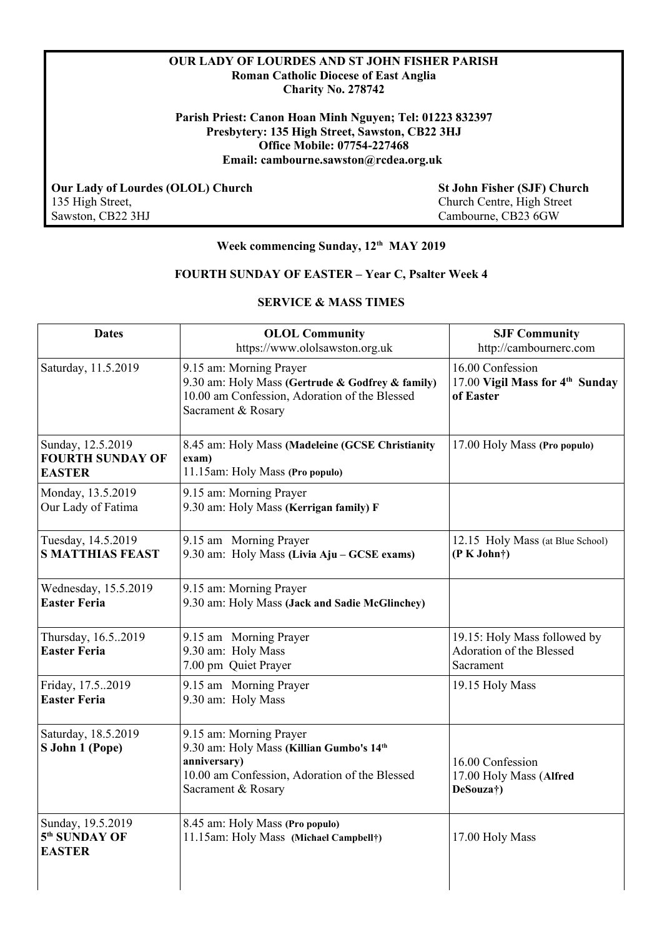### **OUR LADY OF LOURDES AND ST JOHN FISHER PARISH Roman Catholic Diocese of East Anglia Charity No. 278742**

**Parish Priest: Canon Hoan Minh Nguyen; Tel: 01223 832397 Presbytery: 135 High Street, Sawston, CB22 3HJ Office Mobile: 07754-227468 Email: cambourne.sawston@rcdea.org.uk** 

 **Our Lady of Lourdes (OLOL) Church St John Fisher (SJF) Church** 135 High Street,  $\frac{135 \text{ High Street}}{2 \text{ High Street}}$ Sawston, CB22 3HJ Cambourne, CB23 6GW

135 High Street, Church Centre, High Street

# **Week commencing Sunday, 12th MAY 2019**

# **FOURTH SUNDAY OF EASTER – Year C, Psalter Week 4**

### **SERVICE & MASS TIMES**

| <b>Dates</b>                                                    | <b>OLOL Community</b><br>https://www.ololsawston.org.uk                                                                                                    | <b>SJF Community</b><br>http://cambournerc.com                               |
|-----------------------------------------------------------------|------------------------------------------------------------------------------------------------------------------------------------------------------------|------------------------------------------------------------------------------|
| Saturday, 11.5.2019                                             | 9.15 am: Morning Prayer<br>9.30 am: Holy Mass (Gertrude & Godfrey & family)<br>10.00 am Confession, Adoration of the Blessed<br>Sacrament & Rosary         | 16.00 Confession<br>17.00 Vigil Mass for 4 <sup>th</sup> Sunday<br>of Easter |
| Sunday, 12.5.2019<br><b>FOURTH SUNDAY OF</b><br><b>EASTER</b>   | 8.45 am: Holy Mass (Madeleine (GCSE Christianity<br>exam)<br>11.15am: Holy Mass (Pro populo)                                                               | 17.00 Holy Mass (Pro populo)                                                 |
| Monday, 13.5.2019<br>Our Lady of Fatima                         | 9.15 am: Morning Prayer<br>9.30 am: Holy Mass (Kerrigan family) F                                                                                          |                                                                              |
| Tuesday, 14.5.2019<br><b>S MATTHIAS FEAST</b>                   | 9.15 am Morning Prayer<br>9.30 am: Holy Mass (Livia Aju - GCSE exams)                                                                                      | 12.15 Holy Mass (at Blue School)<br>(P K John†)                              |
| Wednesday, 15.5.2019<br><b>Easter Feria</b>                     | 9.15 am: Morning Prayer<br>9.30 am: Holy Mass (Jack and Sadie McGlinchey)                                                                                  |                                                                              |
| Thursday, 16.52019<br><b>Easter Feria</b>                       | 9.15 am Morning Prayer<br>9.30 am: Holy Mass<br>7.00 pm Quiet Prayer                                                                                       | 19.15: Holy Mass followed by<br>Adoration of the Blessed<br>Sacrament        |
| Friday, 17.52019<br><b>Easter Feria</b>                         | 9.15 am Morning Prayer<br>9.30 am: Holy Mass                                                                                                               | 19.15 Holy Mass                                                              |
| Saturday, 18.5.2019<br>S John 1 (Pope)                          | 9.15 am: Morning Prayer<br>9.30 am: Holy Mass (Killian Gumbo's 14th<br>anniversary)<br>10.00 am Confession, Adoration of the Blessed<br>Sacrament & Rosary | 16.00 Confession<br>17.00 Holy Mass (Alfred<br>DeSouza†)                     |
| Sunday, 19.5.2019<br>5 <sup>th</sup> SUNDAY OF<br><b>EASTER</b> | 8.45 am: Holy Mass (Pro populo)<br>11.15am: Holy Mass (Michael Campbell†)                                                                                  | 17.00 Holy Mass                                                              |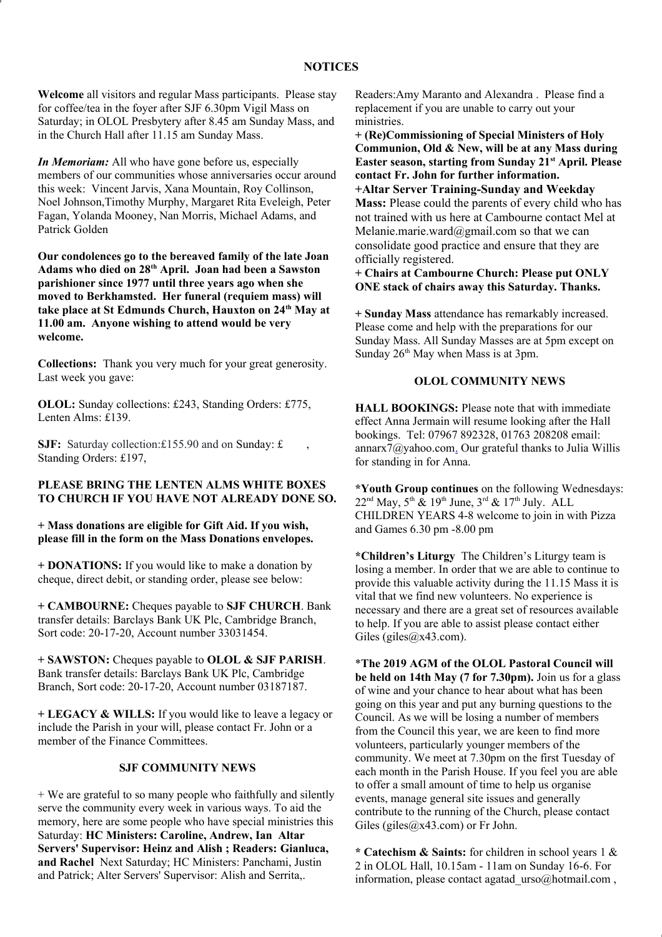#### **NOTICES**

**Welcome** all visitors and regular Mass participants. Please stay for coffee/tea in the foyer after SJF 6.30pm Vigil Mass on Saturday; in OLOL Presbytery after 8.45 am Sunday Mass, and in the Church Hall after 11.15 am Sunday Mass.

*In Memoriam:* All who have gone before us, especially members of our communities whose anniversaries occur around this week: Vincent Jarvis, Xana Mountain, Roy Collinson, Noel Johnson,Timothy Murphy, Margaret Rita Eveleigh, Peter Fagan, Yolanda Mooney, Nan Morris, Michael Adams, and Patrick Golden

**Our condolences go to the bereaved family of the late Joan Adams who died on 28th April. Joan had been a Sawston parishioner since 1977 until three years ago when she moved to Berkhamsted. Her funeral (requiem mass) will take place at St Edmunds Church, Hauxton on 24th May at 11.00 am. Anyone wishing to attend would be very welcome.**

**Collections:** Thank you very much for your great generosity. Last week you gave:

**OLOL:** Sunday collections: £243, Standing Orders: £775, Lenten Alms: £139.

**SJF:** Saturday collection:£155.90 and on Sunday: £ Standing Orders: £197,

#### **PLEASE BRING THE LENTEN ALMS WHITE BOXES TO CHURCH IF YOU HAVE NOT ALREADY DONE SO.**

**+ Mass donations are eligible for Gift Aid. If you wish, please fill in the form on the Mass Donations envelopes.**

**+ DONATIONS:** If you would like to make a donation by cheque, direct debit, or standing order, please see below:

**+ CAMBOURNE:** Cheques payable to **SJF CHURCH**. Bank transfer details: Barclays Bank UK Plc, Cambridge Branch, Sort code: 20-17-20, Account number 33031454.

**+ SAWSTON:** Cheques payable to **OLOL & SJF PARISH**. Bank transfer details: Barclays Bank UK Plc, Cambridge Branch, Sort code: 20-17-20, Account number 03187187.

**+ LEGACY & WILLS:** If you would like to leave a legacy or include the Parish in your will, please contact Fr. John or a member of the Finance Committees.

## **SJF COMMUNITY NEWS**

+ We are grateful to so many people who faithfully and silently serve the community every week in various ways. To aid the memory, here are some people who have special ministries this Saturday: **HC Ministers: Caroline, Andrew, Ian Altar Servers' Supervisor: Heinz and Alish ; Readers: Gianluca, and Rachel** Next Saturday; HC Ministers: Panchami, Justin and Patrick; Alter Servers' Supervisor: Alish and Serrita,.

Readers:Amy Maranto and Alexandra . Please find a replacement if you are unable to carry out your ministries.

**+ (Re)Commissioning of Special Ministers of Holy Communion, Old & New, will be at any Mass during Easter season, starting from Sunday 21st April. Please contact Fr. John for further information.**

**+Altar Server Training-Sunday and Weekday Mass:** Please could the parents of every child who has not trained with us here at Cambourne contact Mel at Melanie.marie.ward@gmail.com so that we can consolidate good practice and ensure that they are officially registered.

**+ Chairs at Cambourne Church: Please put ONLY ONE stack of chairs away this Saturday. Thanks.**

**+ Sunday Mass** attendance has remarkably increased. Please come and help with the preparations for our Sunday Mass. All Sunday Masses are at 5pm except on Sunday  $26<sup>th</sup>$  May when Mass is at 3pm.

#### **OLOL COMMUNITY NEWS**

**HALL BOOKINGS:** Please note that with immediate effect Anna Jermain will resume looking after the Hall bookings. Tel: 07967 892328, 01763 208208 email: annarx $\frac{7}{a}$ yahoo.co[m.](mailto:annarx7@yahoo.com) Our grateful thanks to Julia Willis for standing in for Anna.

**\*Youth Group continues** on the following Wednesdays:  $22<sup>nd</sup>$  May,  $5<sup>th</sup>$  &  $19<sup>th</sup>$  June,  $3<sup>rd</sup>$  &  $17<sup>th</sup>$  July. ALL CHILDREN YEARS 4-8 welcome to join in with Pizza and Games 6.30 pm -8.00 pm

**\*Children's Liturgy** The Children's Liturgy team is losing a member. In order that we are able to continue to provide this valuable activity during the 11.15 Mass it is vital that we find new volunteers. No experience is necessary and there are a great set of resources available to help. If you are able to assist please contact either Giles (giles@x43.com).

\***The 2019 AGM of the OLOL Pastoral Council will be held on 14th May (7 for 7.30pm).** Join us for a glass of wine and your chance to hear about what has been going on this year and put any burning questions to the Council. As we will be losing a number of members from the Council this year, we are keen to find more volunteers, particularly younger members of the community. We meet at 7.30pm on the first Tuesday of each month in the Parish House. If you feel you are able to offer a small amount of time to help us organise events, manage general site issues and generally contribute to the running of the Church, please contact Giles (giles  $(a \times 43$ .com) or Fr John.

**\* Catechism & Saints:** for children in school years 1 & 2 in OLOL Hall, 10.15am - 11am on Sunday 16-6. For information, please contact agatad urso@hotmail.com ,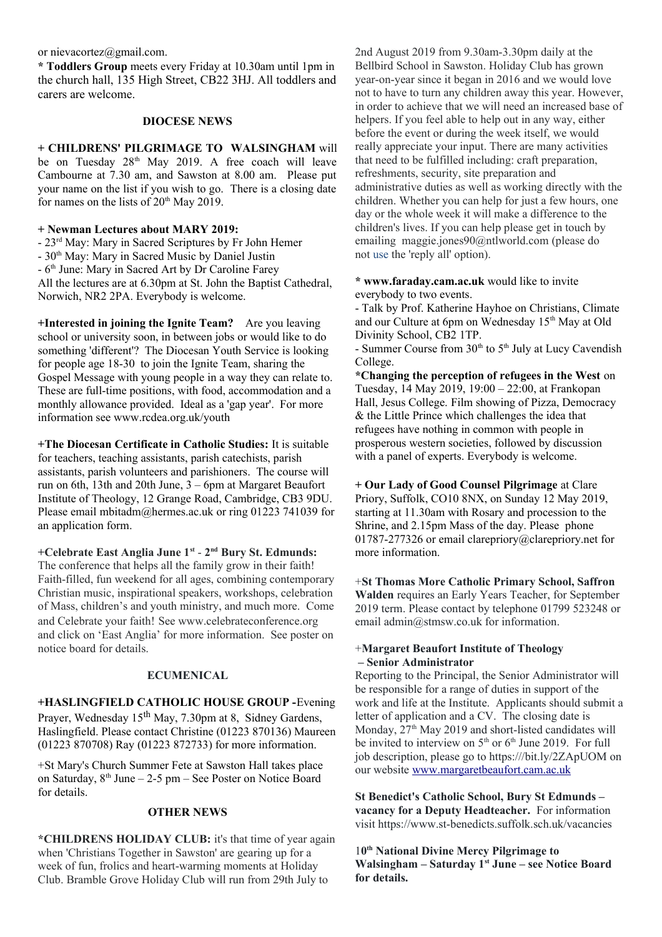or nievacortez@gmail.com.

**\* Toddlers Group** meets every Friday at 10.30am until 1pm in the church hall, 135 High Street, CB22 3HJ. All toddlers and carers are welcome.

#### **DIOCESE NEWS**

**+ CHILDRENS' PILGRIMAGE TO WALSINGHAM** will be on Tuesday  $28<sup>th</sup>$  May 2019. A free coach will leave Cambourne at 7.30 am, and Sawston at 8.00 am. Please put your name on the list if you wish to go. There is a closing date for names on the lists of  $20<sup>th</sup>$  May 2019.

### **+ Newman Lectures about MARY 2019:**

- 23rd May: Mary in Sacred Scriptures by Fr John Hemer

- 30<sup>th</sup> May: Mary in Sacred Music by Daniel Justin

 $-6<sup>th</sup>$  June: Mary in Sacred Art by Dr Caroline Farey

All the lectures are at 6.30pm at St. John the Baptist Cathedral, Norwich, NR2 2PA. Everybody is welcome.

**+Interested in joining the Ignite Team?** Are you leaving school or university soon, in between jobs or would like to do something 'different'? The Diocesan Youth Service is looking for people age 18-30 to join the Ignite Team, sharing the Gospel Message with young people in a way they can relate to. These are full-time positions, with food, accommodation and a monthly allowance provided. Ideal as a 'gap year'. For more information see www.rcdea.org.uk/youth

**+The Diocesan Certificate in Catholic Studies:** It is suitable for teachers, teaching assistants, parish catechists, parish assistants, parish volunteers and parishioners. The course will run on 6th, 13th and 20th June, 3 – 6pm at Margaret Beaufort Institute of Theology, 12 Grange Road, Cambridge, CB3 9DU. Please email mbitadm@hermes.ac.uk or ring 01223 741039 for an application form.

**+Celebrate East Anglia June 1st** - **2nd Bury St. Edmunds:**  The conference that helps all the family grow in their faith! Faith-filled, fun weekend for all ages, combining contemporary Christian music, inspirational speakers, workshops, celebration of Mass, children's and youth ministry, and much more. Come and Celebrate your faith! See www.celebrateconference.org and click on 'East Anglia' for more information. See poster on notice board for details.

### **ECUMENICAL**

**+HASLINGFIELD CATHOLIC HOUSE GROUP -**Evening Prayer, Wednesday 15<sup>th</sup> May, 7.30pm at 8, Sidney Gardens, Haslingfield. Please contact Christine (01223 870136) Maureen (01223 870708) Ray (01223 872733) for more information.

+St Mary's Church Summer Fete at Sawston Hall takes place on Saturday,  $8<sup>th</sup>$  June – 2-5 pm – See Poster on Notice Board for details.

### **OTHER NEWS**

**\*CHILDRENS HOLIDAY CLUB:** it's that time of year again when 'Christians Together in Sawston' are gearing up for a week of fun, frolics and heart-warming moments at Holiday Club. Bramble Grove Holiday Club will run from 29th July to

2nd August 2019 from 9.30am-3.30pm daily at the Bellbird School in Sawston. Holiday Club has grown year-on-year since it began in 2016 and we would love not to have to turn any children away this year. However, in order to achieve that we will need an increased base of helpers. If you feel able to help out in any way, either before the event or during the week itself, we would really appreciate your input. There are many activities that need to be fulfilled including: craft preparation, refreshments, security, site preparation and administrative duties as well as working directly with the children. Whether you can help for just a few hours, one day or the whole week it will make a difference to the children's lives. If you can help please get in touch by emailing maggie.jones90@ntlworld.com (please do not use the 'reply all' option).

**\* www.faraday.cam.ac.uk** would like to invite everybody to two events.

- Talk by Prof. Katherine Hayhoe on Christians, Climate and our Culture at 6pm on Wednesday 15<sup>th</sup> May at Old Divinity School, CB2 1TP.

- Summer Course from  $30<sup>th</sup>$  to  $5<sup>th</sup>$  July at Lucy Cavendish College.

**\*Changing the perception of refugees in the West** on Tuesday, 14 May 2019, 19:00 – 22:00, at Frankopan Hall, Jesus College. Film showing of Pizza, Democracy & the Little Prince which challenges the idea that refugees have nothing in common with people in prosperous western societies, followed by discussion with a panel of experts. Everybody is welcome.

**+ Our Lady of Good Counsel Pilgrimage** at Clare Priory, Suffolk, CO10 8NX, on Sunday 12 May 2019, starting at 11.30am with Rosary and procession to the Shrine, and 2.15pm Mass of the day. Please phone 01787-277326 or email clarepriory@clarepriory.net for more information.

+**St Thomas More Catholic Primary School, Saffron Walden** requires an Early Years Teacher, for September 2019 term. Please contact by telephone 01799 523248 or email admin@stmsw.co.uk for information.

#### +**Margaret Beaufort Institute of Theology – Senior Administrator**

Reporting to the Principal, the Senior Administrator will be responsible for a range of duties in support of the work and life at the Institute. Applicants should submit a letter of application and a CV. The closing date is Monday,  $27<sup>th</sup>$  May 2019 and short-listed candidates will be invited to interview on  $5<sup>th</sup>$  or  $6<sup>th</sup>$  June 2019. For full job description, please go to https:///bit.ly/2ZApUOM on our website [www.margaretbeaufort.cam.ac.uk](http://www.margaretbeaufort.cam.ac.uk/)

**St Benedict's Catholic School, Bury St Edmunds – vacancy for a Deputy Headteacher.** For information visit https://www.st-benedicts.suffolk.sch.uk/vacancies

1**0 th National Divine Mercy Pilgrimage to Walsingham – Saturday 1st June – see Notice Board for details.**